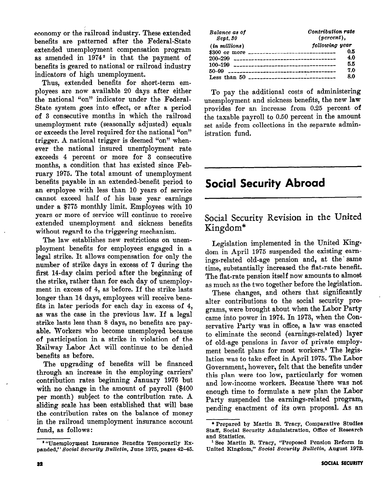economy or the railroad industry. These extended benefits are patterned after the Federal-State extended unemployment compensation program as amended in 1974<sup>2</sup> in that the payment of benefits is geared to national or railroad industry indicators of high unemployment.

Thus, extended benefits for short-term employees are now available 20 days after either the national "on" indicator under the Federal-State system goes into effect, or after a period of 3 consecutive months in which the railroad unemployment rate (seasonally adjusted) equals or exceeds the level required for the national "on" trigger. A national trigger is deemed "on" whenever the national insured unemployment rate exceeds 4 percent or more for 3 consecutive months, a condition that has existed since February 1975, The total amount of unemployment benefits payable in an extended-benefit period to an employee with less than 10 years of service cannot exceed half of his base year earnings under a \$775 monthly limit. Employees with 10 years or more of service will continue to receive extended unemployment and sickness benefits without regard to the triggering mechanism.

The law establishes new restrictions on unemployment benefits for employees engaged in a legal strike. It allows compensation for only the number of strike days in excess of 7 during the first 14-day claim period after the beginning of the strike, rather than for each day of unemployment in excess of 4, as before. If the strike lasts longer than 14 days, employees will receive benefits in later periods for each day in excess of 4, as was the case in the previous law. If a legal strike lasts less than 8 days, no benefits are payable. Workers who become unemployed because of participation in a strike in violation of the Railway Labor Act will continue to be denied benefits as before.

The upgrading of benefits will be financed through an increase in the employing carriers' contribution rates beginning January 1976 but with no change in the amount of payroll  $(\$400$ per month) subject to the contribution rate. A sliding scale has been established that will base the contribution rates on the balance of money in the railroad unemployment insurance account fund, as follows:

| Balance as of<br>Sept. 30                                                                                                                                                                                                                                                                              | Contribution rate<br>$(\text{percent})$ , |  |  |  |  |
|--------------------------------------------------------------------------------------------------------------------------------------------------------------------------------------------------------------------------------------------------------------------------------------------------------|-------------------------------------------|--|--|--|--|
| $(in \text{ millions})$                                                                                                                                                                                                                                                                                | following year                            |  |  |  |  |
| \$300 or more $\frac{1}{2}$ = $\frac{1}{2}$ = $\frac{1}{2}$ = $\frac{1}{2}$ = $\frac{1}{2}$ = $\frac{1}{2}$ = $\frac{1}{2}$ = $\frac{1}{2}$ = $\frac{1}{2}$ = $\frac{1}{2}$ = $\frac{1}{2}$ = $\frac{1}{2}$ = $\frac{1}{2}$ = $\frac{1}{2}$ = $\frac{1}{2}$ = $\frac{1}{2}$ = $\frac{1}{2}$ = $\frac{$ | 0.S                                       |  |  |  |  |
| $200 - 299$                                                                                                                                                                                                                                                                                            | 4.0                                       |  |  |  |  |
|                                                                                                                                                                                                                                                                                                        | 5.5                                       |  |  |  |  |
| 50-99                                                                                                                                                                                                                                                                                                  | 70                                        |  |  |  |  |
| Less than $50$ -------------------------------                                                                                                                                                                                                                                                         | 8.0                                       |  |  |  |  |

To pay the additional costs of administering unemployment and sickness benefits, the new law provides for an increase from 0.25 percent of the taxable payroll to 0.50 percent in the amount set aside from collections in the separate administration fund.

# Social Security Abroad

## Social Security Revision in the United Kingdom\*

Legislation implemented in the United Kingdom in April 1975 suspended the existing earnings-related old-age pension and, at the ' same time, substantially increased the flat-rate benefit. The flat-rate pension itself now amounts to almost as much as the two together before the legislation.

These changes, and others that significantly alter contributions to the social security programs, were brought about when the Labor Party came into power in 1974. In 1973, when the Conservative Party was in office, a law was enacted to eliminate the second (earnings-related) layer of old-age pensions in favor of private employment benefit plans for most workers.<sup>1</sup> The legislation was to take effect in April 1975. The Labor Government, however, felt that the benefits under this plan were too low, particularly for women and low-income workers. Because 'there was not enough time to formulate a new plan the Labor Party suspended the earnings-related program, pending enactment of its own proposal, As an

<sup>&</sup>lt;sup>2</sup> "Unemployment Insurance Benefits Temporarily Expanded," Social Security Bulletin, June 1975, pages 42-45.

<sup>\*</sup> Prepared by Martin B. Tracy, Comparative Studies Staff, Social Security Administration, Office of Research and Statistics.

<sup>&#</sup>x27;See Martin B. Tracy, "Proposed Pension Reform in United Kingdom," Social Security Bulletin, August 1973.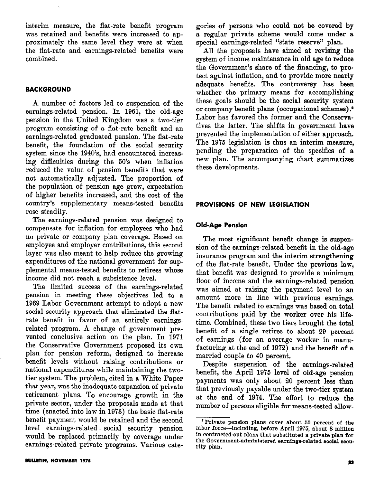interim measure, the flat-rate benefit program was retained and benefits were increased to approximately the same level they were at when the flat-rate and earnings-related benefits were combined.

#### BACKGROUND

A number of factors led to suspension of the earnings-related pension. In 1961, the old-age pension in the United Kingdom was a two-tier program consisting of a flat-rate benefit and an earnings-related graduated pension. The flat-rate benefit, the foundation of the social security system since the 1940's, had encountered increasing difficulties during the 50's when inflation reduced the value of pension benefits that were not automatically adjusted. The proportion of the population of pension age grew, expectation of higher benefits mcreased, and the cost of the country's supplementary means-tested benefits rose steadily.

The earnings-related pension was designed to compensate for inflation for employees who had no private or company plan coverage. Based on employee and employer contributions, this second layer was also meant to help reduce the growing expenditures of the national government for supplemental means-tested benefits to retirees whose income did not reach a subsistence level.

The limited success of the earnings-related pension in meeting these objectives led to a 1969 Labor Government attempt to adopt a new social security approach that eliminated the flatrate benefit in favor of an entirely earningsrelated program. A change of government prevented conclusive action on the plan. In 1971 the Conservative Government proposed its own plan for pension reform, designed to increase benefit levels without raising contributions or national expenditures while maintaining the twotier system. The problem, cited in a White Paper that year, was the inadequate expansion of private retirement plans. To encourage growth in the private sector, under the proposals made at that time (enacted into law in 1973) the basic flat-rate benefit payment would be retained and the second level earnings-related. social security pension would be replaced primarily by coverage under earnings-related private programs. Various categories of persons who could not be covered by a regular private scheme would come under a special earnings-related "state reserve" plan.

All the proposals have aimed at revising the system of income maintenance in old age to reduce the Government's share of the financing, to protect against inflation, and to provide more nearly adequate benefits. The controversy has been whether the primary means for accomplishing these goals should be the social security system or company benefit plans (occupational schemes) .\* Labor has favored the former and the Conservatives the latter. The shifts in government have prevented the implementation of either approach. The 1975 legislation is thus an interim measure, pending the preparation of the specifics of a new plan. The accompanying chart summarizes these developments.

#### PROVISIONS OF NEW LEGISLATION

#### Old-Age Pension

The most significant benefit change is suspension of the earnings-related benefit in the old-age insurance program and the interim strengthening of the flat-rate benefit. Under the previous law, that benefit was designed to provide a minimum floor of income and the earnings-related pension was aimed at raising the payment level to an amount more in line with previous earnings. The benefit related to earnings was based on total contributions paid by the worker over his lifetime. Combined, these two tiers brought the total benefit of a single retiree to about 29 percent of earnings (for an average worker in manufacturing at the end of 1972) and the benefit of a married couple to 40 percent.

Despite suspension of the earnings-related benefit, the April 1975 level of old-age pension payments was only about 20 percent less than that previously payable under the two-tier system at the end of 1974. The effort to reduce the number of persons eligible for means-tested allow-

<sup>&</sup>lt;sup>2</sup> Private pension plans cover about 50 percent of the labor force-including, before April 1876, about 8 million in contracted-out plans that substituted a private plan for the Government-administered earnings-related social security plan.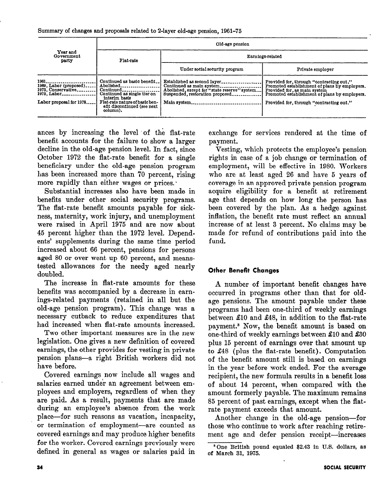Summary of changes and proposals related to 2-layer old-age pension, 1961-75

|                                                                                                 | Old-age pension                                                                                                                                                                                            |                                                                                                                                                            |                                                                                                                                                                                                                        |  |  |  |  |  |
|-------------------------------------------------------------------------------------------------|------------------------------------------------------------------------------------------------------------------------------------------------------------------------------------------------------------|------------------------------------------------------------------------------------------------------------------------------------------------------------|------------------------------------------------------------------------------------------------------------------------------------------------------------------------------------------------------------------------|--|--|--|--|--|
| Year and<br>Government<br>party                                                                 | Flat-rate                                                                                                                                                                                                  | Earnings-related                                                                                                                                           |                                                                                                                                                                                                                        |  |  |  |  |  |
|                                                                                                 |                                                                                                                                                                                                            | Under social security program                                                                                                                              | Private employer                                                                                                                                                                                                       |  |  |  |  |  |
| 1961.<br>1969, Labor (proposed)<br>1973, Conservative<br>1975. Labor<br>Labor proposal for 1978 | Continued as basic benefit<br>Abolished.<br>$Continued$ <sub>----------</sub><br>Continued as single tier on<br>interim basis<br>Flat-rate nature of basic ben-<br>efit discontinued (see next<br>column). | Established as second layer<br>Continued as main system<br>Abolished, except for "state reserve" system<br>Suspended, restoration proposed.<br>Main system | Provided for, through "contracting out."<br>Promoted establishment of plans by employers.<br>Provided for, as main system<br>Promoted establishment of plans by employers.<br>Provided for, through "contracting out." |  |  |  |  |  |

ances by increasing the level of the flat-rate benefit accounts for the failure to show a larger decline in the old-age pension level. In fact, since October 1972 the flat-rate benefit for a single beneficiary under the old-age pension program has been increased more than 70 percent, rising more rapidly than either wages or prices.

Substantial increases also have been made in benefits under other social security programs. The flat-rate benefit amounts payable for sickness, maternity, work injury, and unemployment were raised in April 1975 and are now about 45 percent higher than the 1972 level. Dependents' supplements during the same time period increased about 66 percent, pensions for persons aged 80 or over went up 60 percent, and meanstested allowances for the needy aged nearly doubled.

The increase in flat-rate amounts for these benefits was accompanied by a decrease in earnings-related payments (retained in all but the old-age pension program). This change was a necessary cutback to reduce expenditures that had increased when flat-rate amounts increased.

Two other important measures are in the new legislation. One gives a new definition of covered earnings, the other provides for vesting in private pension plans-a right British workers did not have before.

Covered earnings now include all wages and salaries earned under an agreement between employees and employers, regardless of when they are paid. As a result, payments that are made during an employee's absence from the work place-for such reasons as vacation, incapacity, or termination of employment-are counted as covered earnings and may produce higher benefits for the worker. Covered earnings previously were definod in general as wages or salaries paid in

exchange for services rendered at the time of payment.

Vesting, which protects the employee's pension rights in case of a job change or termination of employment, will be effective in 1980. Workers who are at least aged 26 and have 5 years of coverage in an approved private pension program acquire eligibility for a benefit at retirement age that depends on how long the person has been covered by the plan. As a hedge against inflation, the benefit rate must reflect an annual increase of at least 3 percent. No claims may be made for refund of contributions paid into the fund.

### Other Benefit Changes

A number of important benefit changes have occurred in programs other than that for oldage pensions. The amount payable under these programs had been one-third of weekly earnings between \$10 and \$48, in addition to the flat-rate payment.<sup>3</sup> Now, the benefit amount is based on one-third of weekly earnings between \$10 and \$30 plus 15 percent of earnings over that amount up to \$48 (plus the flat-rate benefit). Computation of the benefit amount still is based on earnings in the year before work ended. For the average recipient, the new formula results in a benefit loss of about 14 percent, when compared with the amount formerly payable. The maximum remains 85 percent of past earnings, except when the flatrate payment exceeds that amount.

Another change in the old-age pension-for those who continue to work after reaching retirement age and defer pension receipt-increases

<sup>\*</sup>One British pound equaled \$2.43 in U.S. dollars, as of March 31, 1975.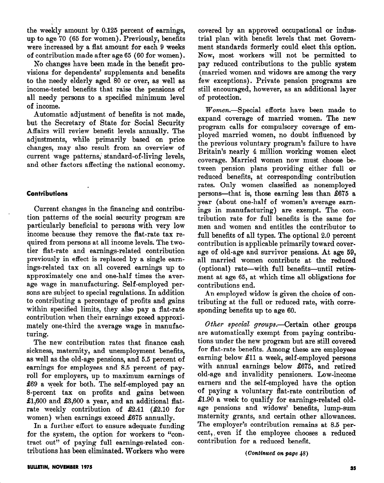the weekly amount by 0.125 percent of earnings, up to age 70 (65 for women). Previously, benefits were increased by a flat amount for each 9 weeks of contribution made after age 65 (60 for women).

No changes have been made in the benefit provisions for dependents' supplements and benefits to the needy elderly aged 80 or over, as well as income-tested benefits that raise the pensions of all needy persons to a specified minimum level of income.

Automatic adjustment of benefits is not made, but the Secretary of State for Social Security Affairs will review benefit levels annually. The adjustments, while primarily based on price changes, may also result from an overview of current wage patterns, standard-of-living levels, and other factors affecting the national economy.

#### **Contributions**

Current changes in the financing and contribution patterns of the social security program are particularly beneficial to persons with very low income because they remove the flat-rate tax required from persons at all income levels. The twotier flat-rate and earnings-related contribution previously in effect is replaced by a single earnings-related tax on all covered earnings up to approximately one and one-half times the average wage in manufacturing. Self-employed persons are subject to special regulations. In addition to contributing a percentage of profits and gains within specified limits, they also pay a flat-rate contribution when their earnings exceed approximately one-third the average wage in manufacturing.

The new contribution rates that finance cash sickness, maternity, and unemployment benefits, as well as the old-age pensions, and 5.5 percent of earnings for employees and 8.5 percent of payroll for employers, up to maximum earnings of \$69 a week for both. The self-employed pay an 8-percent tax on profits and gains between  $\pounds1,600$  and  $\pounds3,600$  a year, and an additional flatrate weekly contribution of  $\pounds2.41$  ( $\pounds2.10$  for women) when earnings exceed £675 annually.

In a further effort to ensure adequate funding for the system, the option for workers to "contract out" of paying full earnings-related contributions has been eliminated. Workers who were

covered by an approved occupational or industrial plan with benefit levels that met Government standards formerly could elect this option. Now, most workers will not be permitted to pay reduced contributions to the public system (married women and widows are among the very few exceptions). Private pension programs are still encouraged, however, as an additional layer of protection.

Women.-Special efforts have been made to expand coverage of married women. The new program calls for compulsory coverage of employed married women, no doubt influenced by the previous voluntary program's failure to have Britain's nearly 4 million working women elect coverage. Married women now must choose between pension plans providing either full or reduced benefits, at corresponding contribution rates. Only women classified as nonemployed persons-that is, those earning less than \$675 a year (about one-half of women's average earnings in manufacturing) are exempt. The contribution rate for full benefits is the same for men and women and entitles the contributor to full benefits of all types. The optional 2.0 percent contribution is applicable primarily toward coverage of old-age and survivor pensions. At age 59, all married women contribute at the reduced (optional) rate-with full benefits-until retirement at age 65, at which time all obligations for contributions end.

An employed widow is given the choice of contributing at the full or reduced rate, with corresponding benefits up to age 60.

Other special groups.—Certain other groups are automatically exempt from paying contributions under the new program but are still covered for flat-rate benefits. Among these are employees earning below El1 a week, self-employed persons with annual earnings below £675, and retired old-age and invalidity pensioners. Low-income earners and the self-employed have the option of paying a voluntary flat-rate contribution of  $\pounds1.90$  a week to qualify for earnings-related oldage pensions and widows' benefits, lump-sum maternity grants, and certain other allowances. The employer's contribution remains at 8.5 percent,, even if the employee chooses a reduced contribution for a reduced benefit.

 $(Continued on page 48)$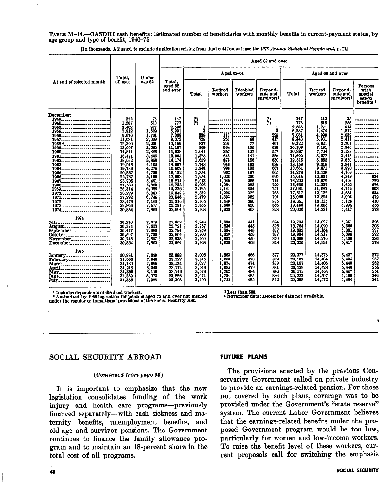TABLE M-14.-OASDHI cash benefits: Estimated number of beneficiaries with monthly benefits in current-payment status, by age group and type of benefit, 1940-76

| $\sim$ $\sim$                                                                                                                                                                       | Total.<br>all ages                                                                                                                                                                                                          | Under<br>age 62                                                                                                                                                                                      | Aged 62 and over                                                                                                                                                                                                          |                                                                                                                                                                           |                                                                                                                                                     |                                                                                                                          |                                                                                                                                                         |                                                                                                                                                                                                                         |                                                                                                                                                                                                                     |                                                                                                                                                                                                      |                                                                                                            |
|-------------------------------------------------------------------------------------------------------------------------------------------------------------------------------------|-----------------------------------------------------------------------------------------------------------------------------------------------------------------------------------------------------------------------------|------------------------------------------------------------------------------------------------------------------------------------------------------------------------------------------------------|---------------------------------------------------------------------------------------------------------------------------------------------------------------------------------------------------------------------------|---------------------------------------------------------------------------------------------------------------------------------------------------------------------------|-----------------------------------------------------------------------------------------------------------------------------------------------------|--------------------------------------------------------------------------------------------------------------------------|---------------------------------------------------------------------------------------------------------------------------------------------------------|-------------------------------------------------------------------------------------------------------------------------------------------------------------------------------------------------------------------------|---------------------------------------------------------------------------------------------------------------------------------------------------------------------------------------------------------------------|------------------------------------------------------------------------------------------------------------------------------------------------------------------------------------------------------|------------------------------------------------------------------------------------------------------------|
| At end of selected month                                                                                                                                                            |                                                                                                                                                                                                                             |                                                                                                                                                                                                      | Total.<br>aged 62<br>and over                                                                                                                                                                                             |                                                                                                                                                                           | Aged 62-64                                                                                                                                          |                                                                                                                          |                                                                                                                                                         | Aged 65 and over                                                                                                                                                                                                        |                                                                                                                                                                                                                     |                                                                                                                                                                                                      |                                                                                                            |
|                                                                                                                                                                                     |                                                                                                                                                                                                                             |                                                                                                                                                                                                      |                                                                                                                                                                                                                           | Total                                                                                                                                                                     | Retired<br>workers                                                                                                                                  | <b>Disabled</b><br>workers                                                                                               | Depend-<br>ents and<br>survivors <sup>t</sup>                                                                                                           | Total                                                                                                                                                                                                                   | Retired<br>workers                                                                                                                                                                                                  | Depend-<br>ents and<br>survivors <sup>1</sup>                                                                                                                                                        | Persons<br>with<br>special<br>ago-72<br>benefits <sup>3</sup>                                              |
| December:<br>1940<br>1945<br>1950<br>1955<br>1956<br>1957<br>1958 (<br>1960<br>1961<br>1962<br>1963<br>1964<br>1965<br>1966<br>1967<br>1968<br>1969<br>1970<br>1971<br>1972<br>1974 | 222<br>1.287<br>3,462<br>7,912<br>9.070<br>11,081<br>12,390<br>13,667<br>14.811<br>16,471<br>18,032<br>19,016<br>19,783<br>20,867<br>22,767<br>23,705<br>24.560<br>25,314<br>26,229<br>27,292<br>28,476<br>29,868<br>30.854 | 75<br>510<br>877<br>1,622<br>1,701<br>2,009<br>2,231<br>2,560<br>2,883<br>3,406<br>3,858<br>4,109<br>4,274<br>4.735<br>5,199<br>5,491<br>5.829<br>6.088<br>6,380<br>6.744<br>7,160<br>7,577<br>7,860 | 147<br>777<br>2.586<br>6,291<br>7.369<br>9,072<br>10,159<br>11,107<br>11.928<br>13,065<br>14,174<br>14,907<br>15,509<br>16,132<br>17,568<br>18,214<br>18,733<br>19,226<br>19,849<br>20,548<br>21,316<br>22, 201<br>22,994 | 8<br>2<br>338<br>729<br>837<br>968<br>1.041<br>1,375<br>1.659<br>1,748<br>1,848<br>1.854<br>1.954<br>2,013<br>2,096<br>2.195<br>2,332<br>2,479<br>2.665<br>2,835<br>2,968 | 113<br>266<br>290<br>334<br>357<br>648<br>878<br>946<br>998<br>992<br>1.028<br>1,040<br>1,084<br>1,141<br>1,225<br>1,333<br>1.440<br>1,560<br>1,628 | 46<br>77<br>105<br>127<br>141<br>156<br>163<br>183<br>197<br>230<br>258<br>283<br>304<br>322<br>352<br>390<br>420<br>468 | $\mathcal{E}$<br>2<br>225<br>417<br>461<br>520<br>557<br>586<br>630<br>639<br>667<br>665<br>696<br>714<br>720<br>751<br>785<br>794<br>835<br>856<br>878 | 147<br>776<br>2.585<br>6,287<br>7,031<br>8.343<br>9,322<br>10,139<br>10,887<br>11,690<br>12,515<br>13.159<br>13,661<br>14,278<br>15.614<br>16,202<br>16,635<br>17,031<br>17,517<br>18,069<br>18,651<br>19,456<br>20,026 | 112<br>518<br>$1,771$<br>4,474<br>4,999<br>5.931<br>6,621<br>7,191<br>7.704<br>8,277<br>8,865<br>9.318<br>9.671<br>10.108<br>10,631<br>10,979<br>11,337<br>11,682<br>12,122<br>12,594<br>13.115<br>13.805<br>14,331 | 35<br>258<br>814<br>1.812<br>2,032<br>2.411<br>2,701<br>2.948<br>3.183<br>3.413<br>3.650<br>3,841<br>3,990<br>4.169<br>4.349<br>4.494<br>4.622<br>4,746<br>4,861<br>5,003<br>5.126<br>5,294<br>5,417 | ---------<br>.<br>.<br>-------<br>---------<br>634<br>729<br>676<br>608<br>534<br>472<br>410<br>359<br>278 |
| 1974<br>July<br>August<br>September<br>October<br>November<br>December                                                                                                              | 30,270<br>30,374<br>30,477<br>30.597<br>30.745<br>30,854                                                                                                                                                                    | 7.618<br>7,653<br>7,686<br>7,733<br>7,807<br>7,860                                                                                                                                                   | 22.652<br>22,721<br>22,791<br>22,864<br>22,938<br>22,994                                                                                                                                                                  | 2,948<br>2,957<br>2.959<br>2,960<br>2,969<br>2,968                                                                                                                        | 1.633<br>1.636<br>1,634<br>1.629<br>1.632<br>1,628                                                                                                  | 441<br>445<br>448<br>453<br>469<br>463                                                                                   | 874<br>876<br>877<br>877<br>879<br>878                                                                                                                  | 19.704<br>19,764<br>19,832<br>19.904<br>19,968<br>20,026                                                                                                                                                                | 14,027<br>14.099<br>14,154<br>14,217<br>14,276<br>14,331                                                                                                                                                            | 5,351<br>5,366<br>5,381<br>5,396<br>5.406<br>5,417                                                                                                                                                   | 326<br>808<br>297<br>292<br>286<br>279                                                                     |
| 1975<br>January<br>March<br>April<br>May<br>June <sub>------</sub> ---------------------<br>July                                                                                    | 30.981<br>31,066<br>31.130<br>31,218<br>31,356<br>31,369<br>31,385                                                                                                                                                          | 7.899<br>7,945<br>7,995<br>8,043<br>8.110<br>8.073<br>7,988                                                                                                                                          | 23,082<br>23,122<br>23,134<br>23,174<br>23,246<br>23.296<br>23,398                                                                                                                                                        | 3.006<br>3.015<br>3.027<br>3.046<br>3.073<br>3,074<br>3,100                                                                                                               | 1.663<br>1,006<br>1,674<br>1,685<br>1,702<br>1,704<br>1,722                                                                                         | 466<br>470<br>474<br>479<br>484<br>486<br>485                                                                            | 877<br>879<br>879<br>881<br>886<br>886<br>892                                                                                                           | 20,077<br>20,107<br>20,107<br>20,129<br>20.173<br>20.222<br>20,298                                                                                                                                                      | 14,378<br>14,404<br>14,406<br>14,428<br>14,464<br>14,507<br>14,572                                                                                                                                                  | 5,427<br>5.435<br>5.440<br>5,446<br>5.457<br>5.469<br>5.486                                                                                                                                          | 272<br>267<br>262<br>255<br>251<br>246<br>241                                                              |

[In thousands. Adjusted to exclude duplication arising from dual entitlement; see the 1973 Annual Statistical Supplement, p. 11]

1 Includes dependents of disabled workers. s Authorimd by 1sSa legislation for prmns efed 72 and over not insured under the regular or transitional prov ions oft e locial l3ecurity Act.

\*Lesstban300. 4 November data; Deeamber data not available.

### SOCIAL SECURITY ABROAD FUTURE PLANS

It is important to emphasize that the new legislation consolidates funding of the work injury and health care programs-previously financed separately-with cash sickness and maternity benefits, unemployment benefits, and old-age and survivor pensions. The Government continues to finance the family allowance program and to maintain an 18-percent share in the total cost of all programs.

 $(Continued from page 35)$  The provisions enacted by the previous Conservative Government called on private industry to provide an earnings-related pension. For those not covered by such plans, coverage was to be provided under the Government's "state reserve" system. The current Labor Government believes that the earnings-related benefits under the proposed Government program would be too low, particularly for women and low-income workers. To raise the benefit level of these workers, current proposals call for switching the emphasis